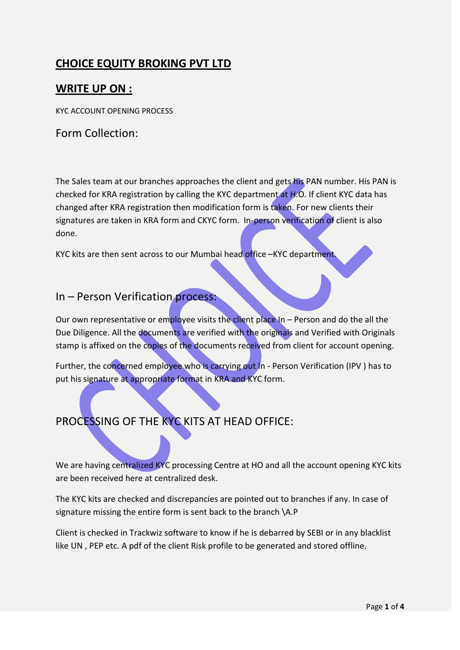# **CHOICE EQUITY BROKING PVT LTD**

### **WRITE UP ON :**

KYC ACCOUNT OPENING PROCESS

Form Collection:

The Sales team at our branches approaches the client and gets his PAN number. His PAN is checked for KRA registration by calling the KYC department at H.O. If client KYC data has changed after KRA registration then modification form is taken. For new clients their signatures are taken in KRA form and CKYC form. In-person verification of client is also done.

KYC kits are then sent across to our Mumbai head office -KYC department.

#### In – Person Verification process:

Our own representative or employee visits the client place In – Person and do the all the Due Diligence. All the documents are verified with the originals and Verified with Originals stamp is affixed on the copies of the documents received from client for account opening.

Further, the concerned employee who is carrying out In - Person Verification (IPV) has to put his signature at appropriate format in KRA and KYC form.

# PROCESSING OF THE KYC KITS AT HEAD OFFICE:

We are having centralized KYC processing Centre at HO and all the account opening KYC kits are been received here at centralized desk.

The KYC kits are checked and discrepancies are pointed out to branches if any. In case of signature missing the entire form is sent back to the branch \A.P

Client is checked in Trackwiz software to know if he is debarred by SEBI or in any blacklist like UN , PEP etc. A pdf of the client Risk profile to be generated and stored offline.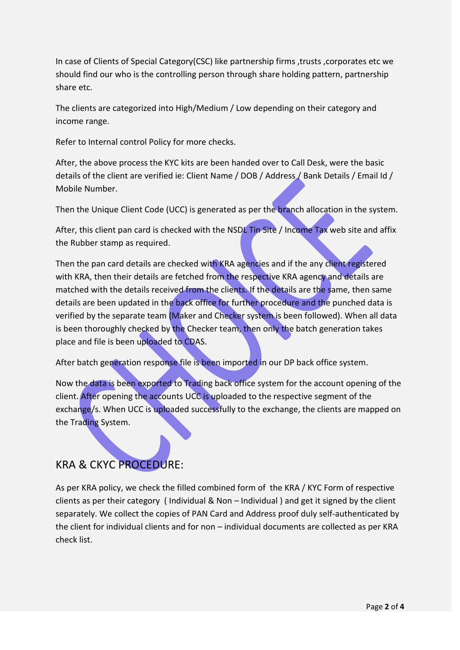In case of Clients of Special Category(CSC) like partnership firms ,trusts ,corporates etc we should find our who is the controlling person through share holding pattern, partnership share etc.

The clients are categorized into High/Medium / Low depending on their category and income range.

Refer to Internal control Policy for more checks.

After, the above process the KYC kits are been handed over to Call Desk, were the basic details of the client are verified ie: Client Name / DOB / Address / Bank Details / Email Id / Mobile Number.

Then the Unique Client Code (UCC) is generated as per the branch allocation in the system.

After, this client pan card is checked with the NSDL Tin Site / Income Tax web site and affix the Rubber stamp as required.

Then the pan card details are checked with KRA agencies and if the any client registered with KRA, then their details are fetched from the respective KRA agency and details are matched with the details received from the clients. If the details are the same, then same details are been updated in the back office for further procedure and the punched data is verified by the separate team (Maker and Checker system is been followed). When all data is been thoroughly checked by the Checker team, then only the batch generation takes place and file is been uploaded to CDAS.

After batch generation response file is been imported in our DP back office system.

Now the data is been exported to Trading back office system for the account opening of the client. After opening the accounts UCC is uploaded to the respective segment of the exchange/s. When UCC is uploaded successfully to the exchange, the clients are mapped on the Trading System.

## KRA & CKYC PROCEDURE:

As per KRA policy, we check the filled combined form of the KRA / KYC Form of respective clients as per their category ( Individual & Non – Individual ) and get it signed by the client separately. We collect the copies of PAN Card and Address proof duly self-authenticated by the client for individual clients and for non – individual documents are collected as per KRA check list.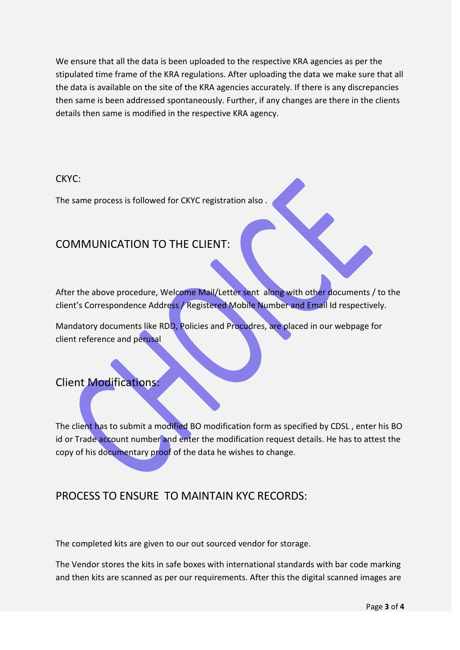We ensure that all the data is been uploaded to the respective KRA agencies as per the stipulated time frame of the KRA regulations. After uploading the data we make sure that all the data is available on the site of the KRA agencies accurately. If there is any discrepancies then same is been addressed spontaneously. Further, if any changes are there in the clients details then same is modified in the respective KRA agency.

#### CKYC:

The same process is followed for CKYC registration also .

## COMMUNICATION TO THE CLIENT:

After the above procedure, Welcome Mail/Letter sent along with other documents / to the client's Correspondence Address / Registered Mobile Number and Email Id respectively.

Mandatory documents like RDD, Policies and Procudres, are placed in our webpage for client reference and perusal

## Client Modifications:

The client has to submit a modified BO modification form as specified by CDSL, enter his BO id or Trade account number and enter the modification request details. He has to attest the copy of his documentary proof of the data he wishes to change.

## PROCESS TO ENSURE TO MAINTAIN KYC RECORDS:

The completed kits are given to our out sourced vendor for storage.

The Vendor stores the kits in safe boxes with international standards with bar code marking and then kits are scanned as per our requirements. After this the digital scanned images are